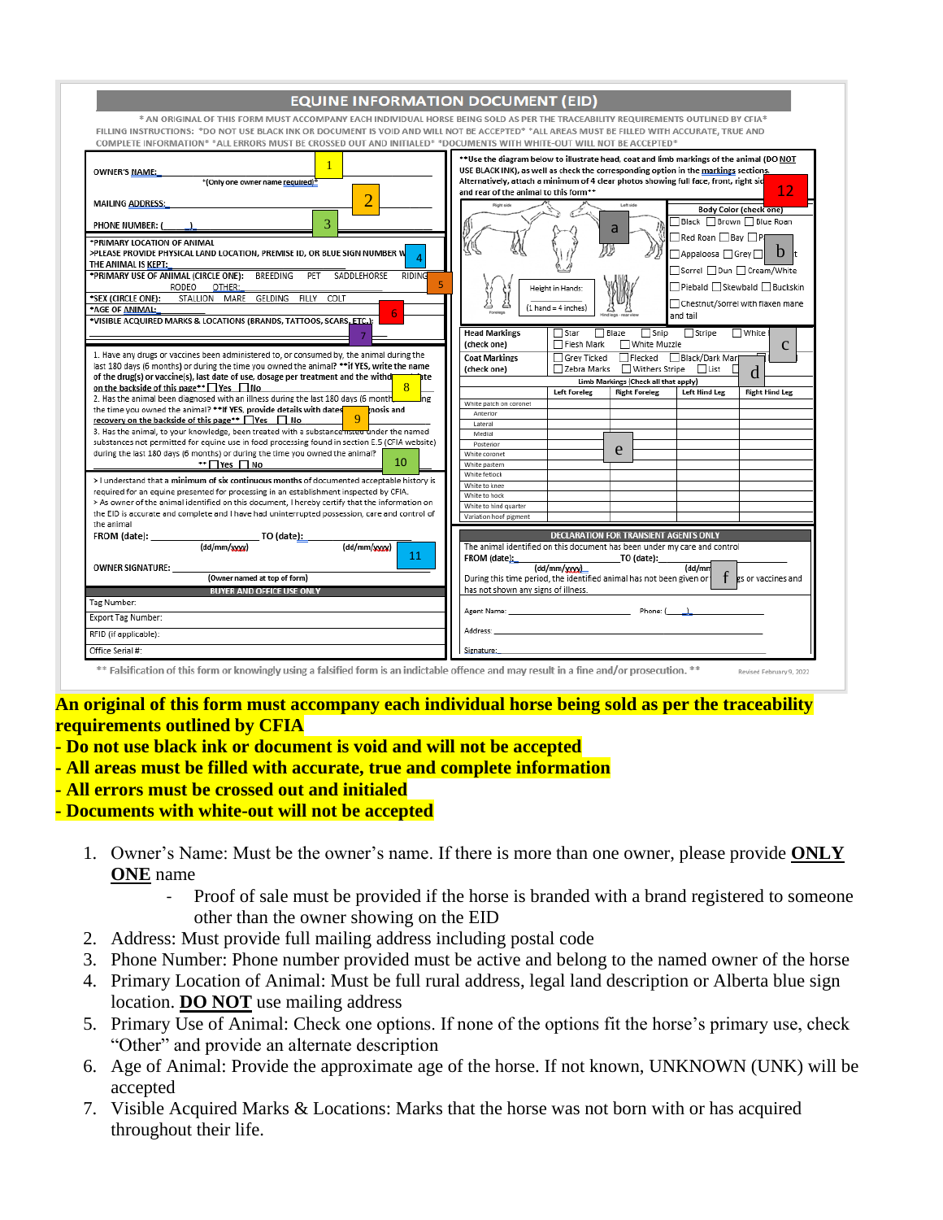| <b>EQUINE INFORMATION DOCUMENT (EID)</b>                                                                                                                                                                                                                                                                                                                                                                                                                                                                                                                                                                                                                                                                                                                                                                                                                                                                                                                                                                                     |                                                                                                                                                                                                                                                                                                                                                            |
|------------------------------------------------------------------------------------------------------------------------------------------------------------------------------------------------------------------------------------------------------------------------------------------------------------------------------------------------------------------------------------------------------------------------------------------------------------------------------------------------------------------------------------------------------------------------------------------------------------------------------------------------------------------------------------------------------------------------------------------------------------------------------------------------------------------------------------------------------------------------------------------------------------------------------------------------------------------------------------------------------------------------------|------------------------------------------------------------------------------------------------------------------------------------------------------------------------------------------------------------------------------------------------------------------------------------------------------------------------------------------------------------|
| FILLING INSTRUCTIONS: *DO NOT USE BLACK INK OR DOCUMENT IS VOID AND WILL NOT BE ACCEPTED* *ALL AREAS MUST BE FILLED WITH ACCURATE, TRUE AND<br>COMPLETE INFORMATION* *ALL ERRORS MUST BE CROSSED OUT AND INITIALED* *DOCUMENTS WITH WHITE-OUT WILL NOT BE ACCEPTED*                                                                                                                                                                                                                                                                                                                                                                                                                                                                                                                                                                                                                                                                                                                                                          | * AN ORIGINAL OF THIS FORM MUST ACCOMPANY EACH INDIVIDUAL HORSE BEING SOLD AS PER THE TRACEABILITY REQUIREMENTS OUTLINED BY CFIA*                                                                                                                                                                                                                          |
| OWNER'S NAME:<br>*(Only one owner name required)*<br>2<br><b>MAILING ADDRESS:</b>                                                                                                                                                                                                                                                                                                                                                                                                                                                                                                                                                                                                                                                                                                                                                                                                                                                                                                                                            | ** Use the diagram below to illustrate head, coat and limb markings of the animal (DO NOT<br>USE BLACK INK), as well as check the corresponding option in the markings sections.<br>Alternatively, attach a minimum of 4 clear photos showing full face, front, right sid<br>12<br>and rear of the animal to this form**<br><b>Right side</b><br>Left side |
| 3<br><b>PHONE NUMBER: (</b><br><b>*PRIMARY LOCATION OF ANIMAL</b><br>>PLEASE PROVIDE PHYSICAL LAND LOCATION, PREMISE ID, OR BLUE SIGN NUMBER W<br>THE ANIMAL IS KEPT:<br>*PRIMARY USE OF ANIMAL (CIRCLE ONE): BREEDING PET<br>SADDLEHORSE<br>RIDING<br>RODEO<br>OTHER:<br>*SEX (CIRCLE ONE):<br>STALLION MARE GELDING FILLY COLT<br>*AGE OF ANIMAL:<br>*VISIBLE ACQUIRED MARKS & LOCATIONS (BRANDS, TATTOOS, SCARS, ETC.);                                                                                                                                                                                                                                                                                                                                                                                                                                                                                                                                                                                                   | <b>Body Color (check one)</b><br>□ Black □ Brown □ Blue Roan<br>a<br>□ Red Roan □ Bay □ P(<br>嫪<br>$h_{\rm k}$<br>Appaloosa Grey<br>Sorrel Dun Cream/White<br>Piebald Skewbald Buckskin<br>Height in Hands:<br>Chestnut/Sorrel with flaxen mane<br>$(1 \text{ hand} = 4 \text{ inches})$<br>and tail                                                       |
| 1. Have any drugs or vaccines been administered to, or consumed by, the animal during the<br>last 180 days (6 months) or during the time you owned the animal? ** if YES, write the name<br>of the drug(s) or vaccine(s), last date of use, dosage per treatment and the withd<br>dte                                                                                                                                                                                                                                                                                                                                                                                                                                                                                                                                                                                                                                                                                                                                        | <b>Head Markings</b><br>Snip<br>$\Box$ Star<br><b>□ Blaze</b><br>Stripe<br>□ White f<br>Flesh Mark<br>(check one)<br>□ White Muzzle<br>$\mathbf c$<br>Flecked<br>Black/Dark Mark<br><b>Coat Markings</b><br>Grey Ticked<br>Zebra Marks<br>□ Withers Stripe □ List<br>(check one)<br>П<br>d                                                                 |
| on the backside of this page** TYes TNo<br>x<br>2. Has the animal been diagnosed with an illness during the last 180 days (6 month<br><b>I</b> ne<br>the time you owned the animal? **If YES, provide details with dates<br>nosis and<br>recovery on the backside of this page** $\Box$ Yes $\Box$ No<br>9<br>3. Has the animal, to your knowledge, been treated with a substance <b>moder than the named</b><br>substances not permitted for equine use in food processing found in section E.5 (CFIA website)<br>during the last 180 days (6 months) or during the time you owned the animal?<br>10<br>**∏Yes ∏No<br>> I understand that a minimum of six continuous months of documented acceptable history is<br>required for an equine presented for processing in an establishment inspected by CFIA.<br>> As owner of the animal identified on this document, I hereby certify that the information on<br>the EID is accurate and complete and I have had uninterrupted possession, care and control of<br>the animal | Limb Markings (Check all that apply)<br><b>Left Foreleg</b><br><b>Right Hind Leg</b><br><b>Right Foreleg</b><br><b>Left Hind Leg</b><br>White patch on coronet<br>Anterior<br>Lateral<br>Medial<br>Posterior<br>e<br>White coronet<br>White pastern<br>White fetlock<br>White to knee<br>White to hock<br>White to hind quarter<br>Variation hoof pigment  |
| FROM (date): $\frac{1}{\text{end}/\text{max}}$ TO (date):<br>(dd/mm/www)<br>11<br><b>OWNER SIGNATURE:</b><br>(Owner named at top of form)<br><b>BUYER AND OFFICE USE ONLY</b><br>Tag Number:                                                                                                                                                                                                                                                                                                                                                                                                                                                                                                                                                                                                                                                                                                                                                                                                                                 | DECLARATION FOR TRANSIENT AGENTS ONLY<br>The animal identified on this document has been under my care and control<br>FROM (date):<br>TO (date):<br>(dd/mm/wwy)<br>(dd/mm<br>f<br>During this time period, the identified animal has not been given or 1<br>es or vaccines and<br>has not shown any signs of illness.                                      |
| Export Tag Number:<br>RFID (if applicable):<br>Office Serial #:<br>$**$ Ealeification of this form ar knowingly wing a folcified form is an indictable offence and may result in a fine and lar prosecution $**$                                                                                                                                                                                                                                                                                                                                                                                                                                                                                                                                                                                                                                                                                                                                                                                                             | Address: Andress: Address: Address: Address: Address: Address: Address: Address: Address: Address: A<br>Signature:                                                                                                                                                                                                                                         |

**An original of this form must accompany each individual horse being sold as per the traceability requirements outlined by CFIA**

- **- Do not use black ink or document is void and will not be accepted**
- **- All areas must be filled with accurate, true and complete information**
- **- All errors must be crossed out and initialed**

**- Documents with white-out will not be accepted**

- 1. Owner's Name: Must be the owner's name. If there is more than one owner, please provide **ONLY ONE** name
	- Proof of sale must be provided if the horse is branded with a brand registered to someone other than the owner showing on the EID
- 2. Address: Must provide full mailing address including postal code
- 3. Phone Number: Phone number provided must be active and belong to the named owner of the horse
- 4. Primary Location of Animal: Must be full rural address, legal land description or Alberta blue sign location. **DO NOT** use mailing address
- 5. Primary Use of Animal: Check one options. If none of the options fit the horse's primary use, check "Other" and provide an alternate description
- 6. Age of Animal: Provide the approximate age of the horse. If not known, UNKNOWN (UNK) will be accepted
- 7. Visible Acquired Marks & Locations: Marks that the horse was not born with or has acquired throughout their life.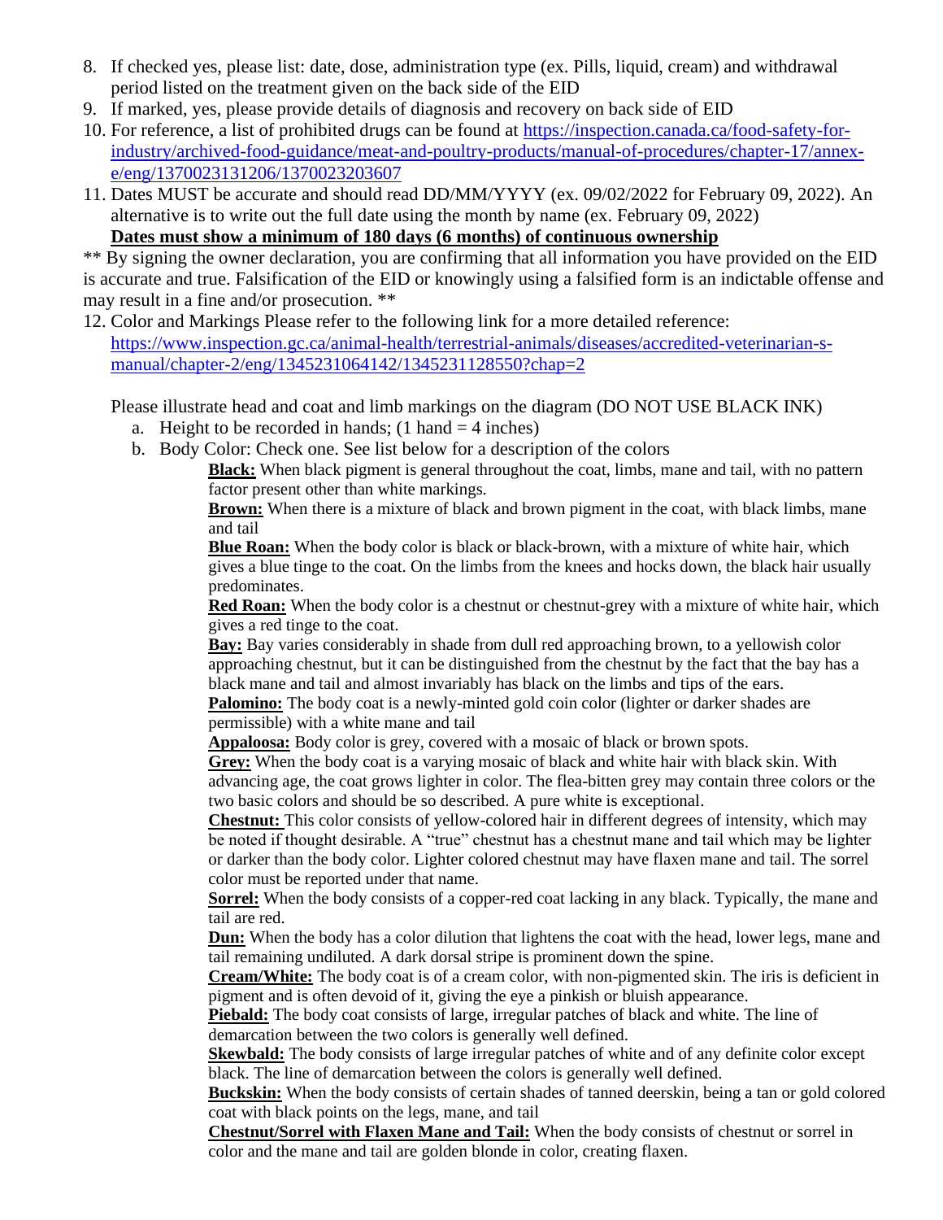- 8. If checked yes, please list: date, dose, administration type (ex. Pills, liquid, cream) and withdrawal period listed on the treatment given on the back side of the EID
- 9. If marked, yes, please provide details of diagnosis and recovery on back side of EID
- 10. For reference, a list of prohibited drugs can be found at [https://inspection.canada.ca/food-safety-for-](https://inspection.canada.ca/food-safety-for-industry/archived-food-guidance/meat-and-poultry-products/manual-of-procedures/chapter-17/annex-e/eng/1370023131206/1370023203607)
- [industry/archived-food-guidance/meat-and-poultry-products/manual-of-procedures/chapter-17/annex](https://inspection.canada.ca/food-safety-for-industry/archived-food-guidance/meat-and-poultry-products/manual-of-procedures/chapter-17/annex-e/eng/1370023131206/1370023203607)[e/eng/1370023131206/1370023203607](https://inspection.canada.ca/food-safety-for-industry/archived-food-guidance/meat-and-poultry-products/manual-of-procedures/chapter-17/annex-e/eng/1370023131206/1370023203607)
- 11. Dates MUST be accurate and should read DD/MM/YYYY (ex. 09/02/2022 for February 09, 2022). An alternative is to write out the full date using the month by name (ex. February 09, 2022)

**Dates must show a minimum of 180 days (6 months) of continuous ownership**

\*\* By signing the owner declaration, you are confirming that all information you have provided on the EID is accurate and true. Falsification of the EID or knowingly using a falsified form is an indictable offense and may result in a fine and/or prosecution. \*\*

12. Color and Markings Please refer to the following link for a more detailed reference: [https://www.inspection.gc.ca/animal-health/terrestrial-animals/diseases/accredited-veterinarian-s](https://www.inspection.gc.ca/animal-health/terrestrial-animals/diseases/accredited-veterinarian-s-manual/chapter-2/eng/1345231064142/1345231128550?chap=2)[manual/chapter-2/eng/1345231064142/1345231128550?chap=2](https://www.inspection.gc.ca/animal-health/terrestrial-animals/diseases/accredited-veterinarian-s-manual/chapter-2/eng/1345231064142/1345231128550?chap=2)

Please illustrate head and coat and limb markings on the diagram (DO NOT USE BLACK INK)

- a. Height to be recorded in hands;  $(1 \text{ hand} = 4 \text{ inches})$
- b. Body Color: Check one. See list below for a description of the colors

**Black:** When black pigment is general throughout the coat, limbs, mane and tail, with no pattern factor present other than white markings.

**Brown:** When there is a mixture of black and brown pigment in the coat, with black limbs, mane and tail

**Blue Roan:** When the body color is black or black-brown, with a mixture of white hair, which gives a blue tinge to the coat. On the limbs from the knees and hocks down, the black hair usually predominates.

**Red Roan:** When the body color is a chestnut or chestnut-grey with a mixture of white hair, which gives a red tinge to the coat.

**Bay:** Bay varies considerably in shade from dull red approaching brown, to a yellowish color approaching chestnut, but it can be distinguished from the chestnut by the fact that the bay has a black mane and tail and almost invariably has black on the limbs and tips of the ears.

**Palomino:** The body coat is a newly-minted gold coin color (lighter or darker shades are permissible) with a white mane and tail

**Appaloosa:** Body color is grey, covered with a mosaic of black or brown spots.

**Grey:** When the body coat is a varying mosaic of black and white hair with black skin. With advancing age, the coat grows lighter in color. The flea-bitten grey may contain three colors or the two basic colors and should be so described. A pure white is exceptional.

**Chestnut:** This color consists of yellow-colored hair in different degrees of intensity, which may be noted if thought desirable. A "true" chestnut has a chestnut mane and tail which may be lighter or darker than the body color. Lighter colored chestnut may have flaxen mane and tail. The sorrel color must be reported under that name.

**Sorrel:** When the body consists of a copper-red coat lacking in any black. Typically, the mane and tail are red.

**Dun:** When the body has a color dilution that lightens the coat with the head, lower legs, mane and tail remaining undiluted. A dark dorsal stripe is prominent down the spine.

**Cream/White:** The body coat is of a cream color, with non-pigmented skin. The iris is deficient in pigment and is often devoid of it, giving the eye a pinkish or bluish appearance.

**Piebald:** The body coat consists of large, irregular patches of black and white. The line of demarcation between the two colors is generally well defined.

**Skewbald:** The body consists of large irregular patches of white and of any definite color except black. The line of demarcation between the colors is generally well defined.

**Buckskin:** When the body consists of certain shades of tanned deerskin, being a tan or gold colored coat with black points on the legs, mane, and tail

**Chestnut/Sorrel with Flaxen Mane and Tail:** When the body consists of chestnut or sorrel in color and the mane and tail are golden blonde in color, creating flaxen.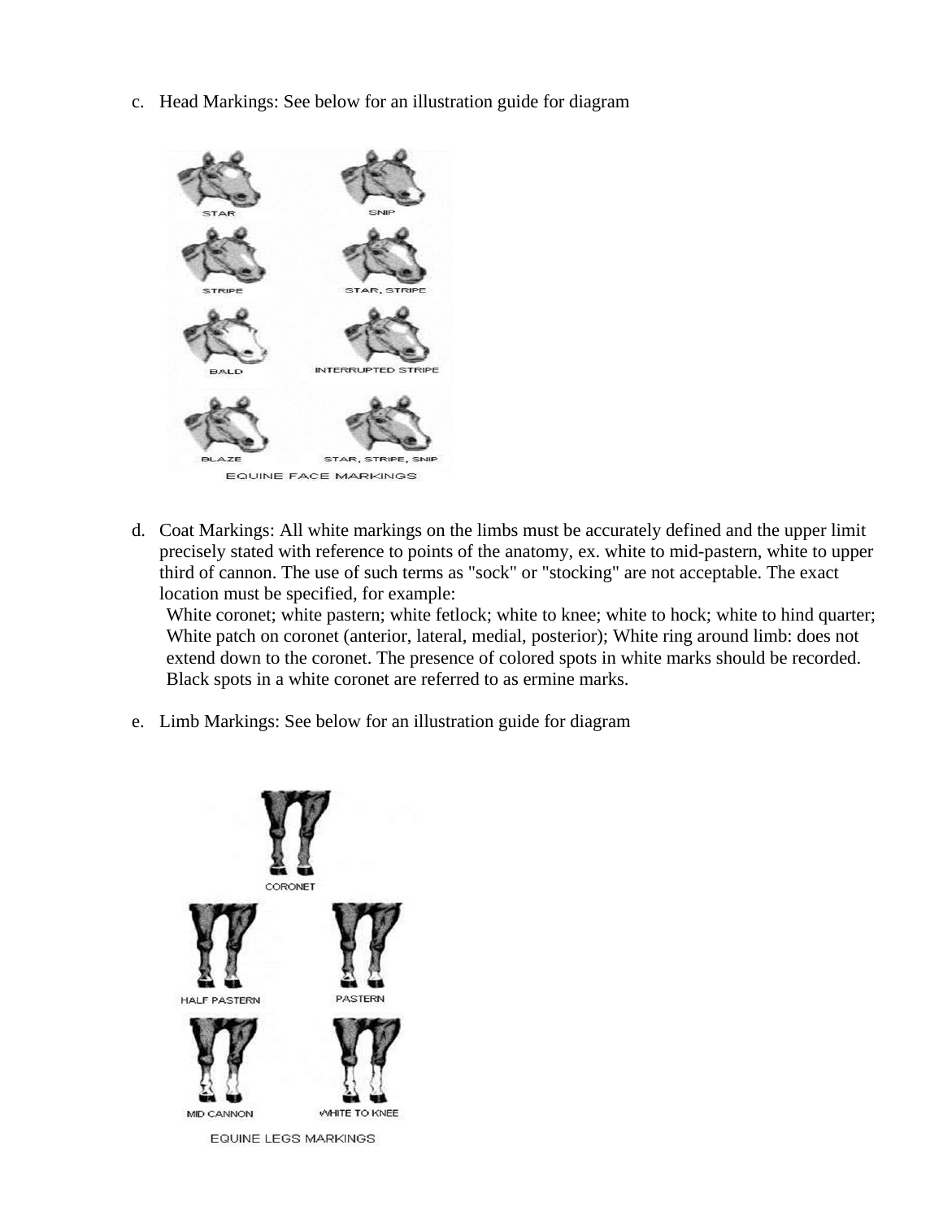c. Head Markings: See below for an illustration guide for diagram



d. Coat Markings: All white markings on the limbs must be accurately defined and the upper limit precisely stated with reference to points of the anatomy, ex. white to mid-pastern, white to upper third of cannon. The use of such terms as "sock" or "stocking" are not acceptable. The exact location must be specified, for example:

White coronet; white pastern; white fetlock; white to knee; white to hock; white to hind quarter; White patch on coronet (anterior, lateral, medial, posterior); White ring around limb: does not extend down to the coronet. The presence of colored spots in white marks should be recorded. Black spots in a white coronet are referred to as ermine marks.

e. Limb Markings: See below for an illustration guide for diagram